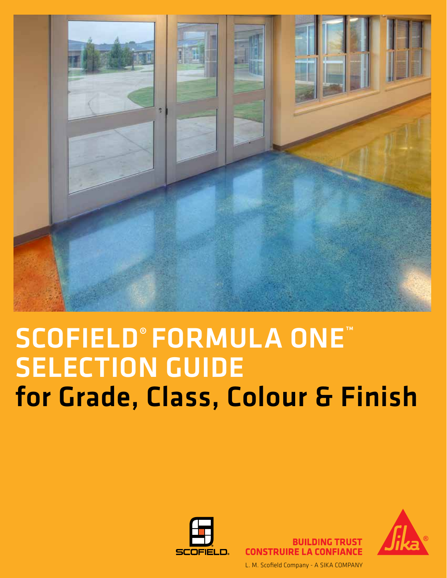

## SCOFIELD® FORMULA ONE™ SELECTION GUIDE for Grade, Class, Colour & Finish



CONSTRIIIRE I A CONFIANCE L. M. Scofield Company - A SIKA COMPANY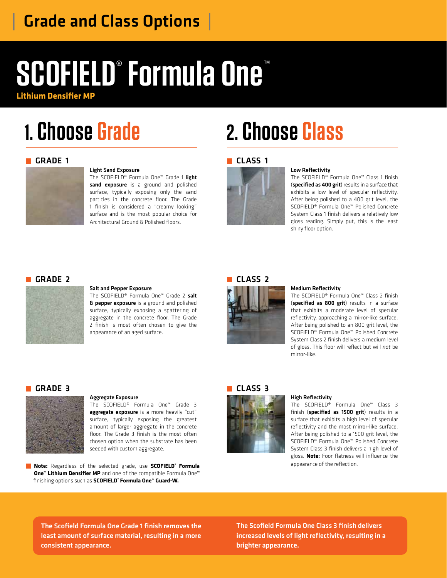### | Grade and Class Options |

# **SCOFIELD**® **Formula One**™

**Lithium Densifier MP**

## **1. Choose Grade**

#### GRADE 1



#### Light Sand Exposure

The SCOFIELD® Formula One™ Grade 1 light sand exposure is a ground and polished surface, typically exposing only the sand particles in the concrete floor. The Grade 1 finish is considered a "creamy looking" surface and is the most popular choice for Architectural Ground & Polished floors.

## **2. Choose Class**

#### **CLASS 1**



#### Low Reflectivity

The SCOFIELD® Formula One™ Class 1 finish (specified as 400 grit) results in a surface that exhibits a low level of specular reflectivity. After being polished to a 400 grit level, the SCOFIELD® Formula One™ Polished Concrete System Class 1 finish delivers a relatively low gloss reading. Simply put, this is the least shiny floor option.

#### GRADE 2



#### Salt and Pepper Exposure

The SCOFIELD® Formula One™ Grade 2 salt **& pepper exposure** is a ground and polished surface, typically exposing a spattering of aggregate in the concrete floor. The Grade 2 finish is most often chosen to give the appearance of an aged surface.



#### Medium Reflectivity

The SCOFIELD® Formula One™ Class 2 finish (specified as 800 grit) results in a surface that exhibits a moderate level of specular reflectivity, approaching a mirror-like surface. After being polished to an 800 grit level, the SCOFIELD® Formula One™ Polished Concrete System Class 2 finish delivers a medium level of gloss. This floor will reflect but will *not* be mirror-like.

#### GRADE 3



#### Aggregate Exposure

The SCOFIELD® Formula One™ Grade 3 aggregate exposure is a more heavily "cut" surface, typically exposing the greatest amount of larger aggregate in the concrete floor. The Grade 3 finish is the most often chosen option when the substrate has been seeded with custom aggregate.

**Note:** Regardless of the selected grade, use **SCOFIELD® Formula One™ Lithium Densifier MP** and one of the compatible Formula One**™** finishing options such as **SCOFIELD® Formula One™ Guard-W.**

#### CLASS<sub>3</sub>



#### High Reflectivity

The SCOFIELD® Formula One™ Class 3 finish (specified as 1500 grit) results in a surface that exhibits a high level of specular reflectivity and the most mirror-like surface. After being polished to a 1500 grit level, the SCOFIELD® Formula One™ Polished Concrete System Class 3 finish delivers a high level of gloss. **Note:** Foor flatness will influence the appearance of the reflection.

The Scofield Formula One Grade 1 finish removes the least amount of surface material, resulting in a more consistent appearance.

The Scofield Formula One Class 3 finish delivers increased levels of light reflectivity, resulting in a brighter appearance.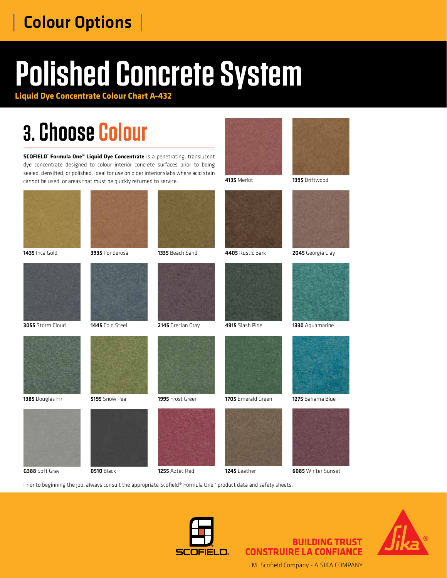### | Colour Options |

# **Polished Concrete System**

**Liquid Dye Concentrate Colour Chart A-432**

## **3. Choose Colour**

**SCOFIELD® Formula One™ Liquid Dye Concentrate** is a penetrating, translucent dye concentrate designed to colour interior concrete surfaces prior to being sealed, densified, or polished. Ideal for use on older interior slabs where acid stain cannot be used, or areas that must be quickly returned to service.





4135 Merlot 1395 Driftwood



















6085 Winter Sunset

Prior to beginning the job, always consult the appropriate Scofield® Formula One™ product data and safety sheets.



#### **BUILDING TRUST CONSTRUIRE LA CONFIANCE**



L. M. Scofield Company - A SIKA COMPANY